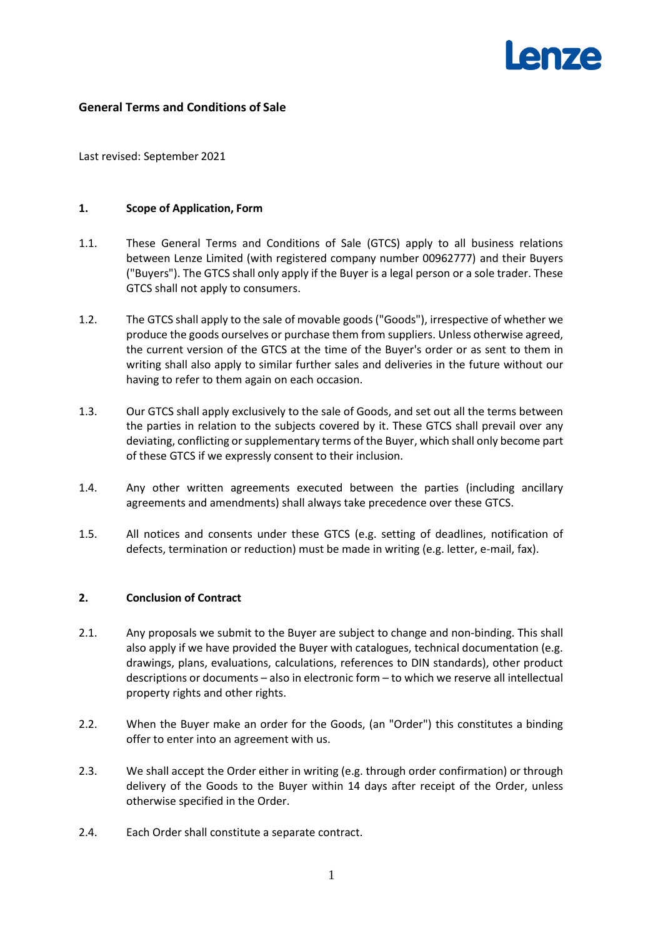

# **General Terms and Conditions of Sale**

Last revised: September 2021

#### **1. Scope of Application, Form**

- 1.1. These General Terms and Conditions of Sale (GTCS) apply to all business relations between Lenze Limited (with registered company number 00962777) and their Buyers ("Buyers"). The GTCS shall only apply if the Buyer is a legal person or a sole trader. These GTCS shall not apply to consumers.
- 1.2. The GTCS shall apply to the sale of movable goods ("Goods"), irrespective of whether we produce the goods ourselves or purchase them from suppliers. Unless otherwise agreed, the current version of the GTCS at the time of the Buyer's order or as sent to them in writing shall also apply to similar further sales and deliveries in the future without our having to refer to them again on each occasion.
- 1.3. Our GTCS shall apply exclusively to the sale of Goods, and set out all the terms between the parties in relation to the subjects covered by it. These GTCS shall prevail over any deviating, conflicting or supplementary terms of the Buyer, which shall only become part of these GTCS if we expressly consent to their inclusion.
- 1.4. Any other written agreements executed between the parties (including ancillary agreements and amendments) shall always take precedence over these GTCS.
- 1.5. All notices and consents under these GTCS (e.g. setting of deadlines, notification of defects, termination or reduction) must be made in writing (e.g. letter, e-mail, fax).

#### **2. Conclusion of Contract**

- 2.1. Any proposals we submit to the Buyer are subject to change and non-binding. This shall also apply if we have provided the Buyer with catalogues, technical documentation (e.g. drawings, plans, evaluations, calculations, references to DIN standards), other product descriptions or documents – also in electronic form – to which we reserve all intellectual property rights and other rights.
- 2.2. When the Buyer make an order for the Goods, (an "Order") this constitutes a binding offer to enter into an agreement with us.
- 2.3. We shall accept the Order either in writing (e.g. through order confirmation) or through delivery of the Goods to the Buyer within 14 days after receipt of the Order, unless otherwise specified in the Order.
- 2.4. Each Order shall constitute a separate contract.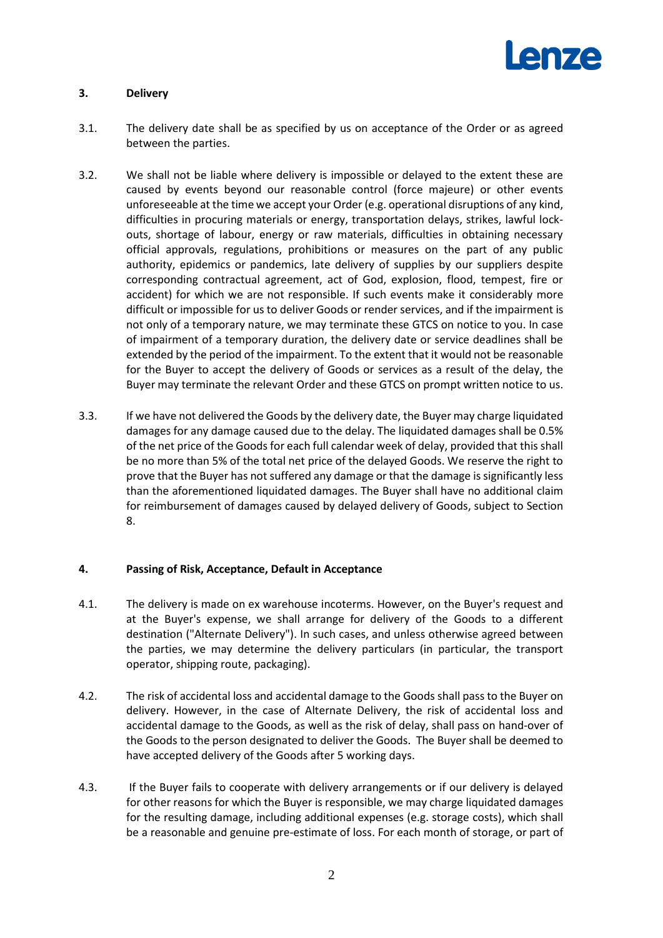

# **3. Delivery**

- 3.1. The delivery date shall be as specified by us on acceptance of the Order or as agreed between the parties.
- 3.2. We shall not be liable where delivery is impossible or delayed to the extent these are caused by events beyond our reasonable control (force majeure) or other events unforeseeable at the time we accept your Order (e.g. operational disruptions of any kind, difficulties in procuring materials or energy, transportation delays, strikes, lawful lockouts, shortage of labour, energy or raw materials, difficulties in obtaining necessary official approvals, regulations, prohibitions or measures on the part of any public authority, epidemics or pandemics, late delivery of supplies by our suppliers despite corresponding contractual agreement, act of God, explosion, flood, tempest, fire or accident) for which we are not responsible. If such events make it considerably more difficult or impossible for us to deliver Goods or render services, and if the impairment is not only of a temporary nature, we may terminate these GTCS on notice to you. In case of impairment of a temporary duration, the delivery date or service deadlines shall be extended by the period of the impairment. To the extent that it would not be reasonable for the Buyer to accept the delivery of Goods or services as a result of the delay, the Buyer may terminate the relevant Order and these GTCS on prompt written notice to us.
- 3.3. If we have not delivered the Goods by the delivery date, the Buyer may charge liquidated damages for any damage caused due to the delay. The liquidated damages shall be 0.5% of the net price of the Goods for each full calendar week of delay, provided that this shall be no more than 5% of the total net price of the delayed Goods. We reserve the right to prove that the Buyer has not suffered any damage or that the damage is significantly less than the aforementioned liquidated damages. The Buyer shall have no additional claim for reimbursement of damages caused by delayed delivery of Goods, subject to Section 8.

## **4. Passing of Risk, Acceptance, Default in Acceptance**

- 4.1. The delivery is made on ex warehouse incoterms. However, on the Buyer's request and at the Buyer's expense, we shall arrange for delivery of the Goods to a different destination ("Alternate Delivery"). In such cases, and unless otherwise agreed between the parties, we may determine the delivery particulars (in particular, the transport operator, shipping route, packaging).
- 4.2. The risk of accidental loss and accidental damage to the Goods shall pass to the Buyer on delivery. However, in the case of Alternate Delivery, the risk of accidental loss and accidental damage to the Goods, as well as the risk of delay, shall pass on hand-over of the Goods to the person designated to deliver the Goods. The Buyer shall be deemed to have accepted delivery of the Goods after 5 working days.
- 4.3. If the Buyer fails to cooperate with delivery arrangements or if our delivery is delayed for other reasons for which the Buyer is responsible, we may charge liquidated damages for the resulting damage, including additional expenses (e.g. storage costs), which shall be a reasonable and genuine pre-estimate of loss. For each month of storage, or part of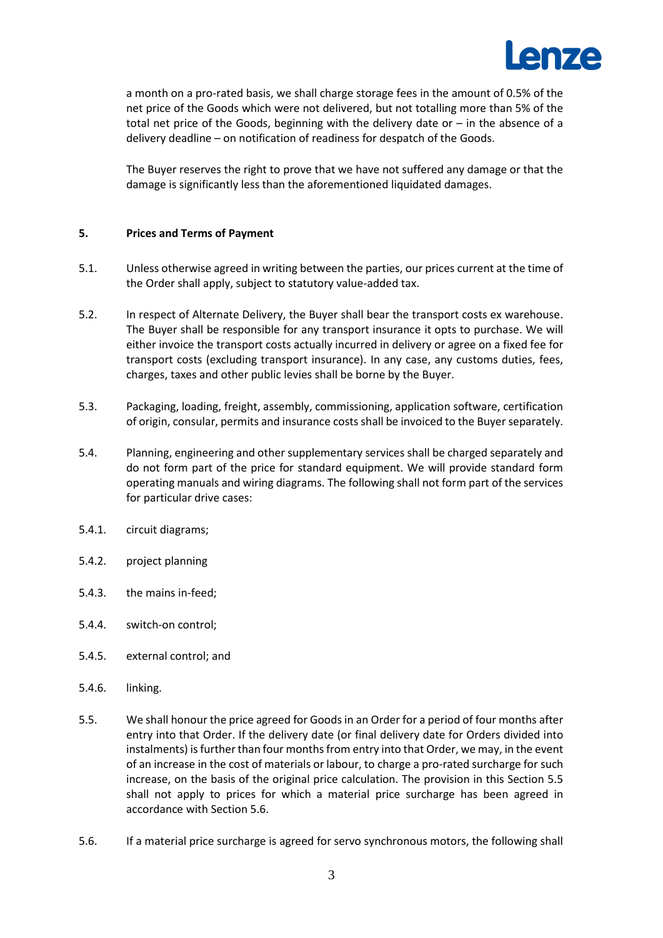

a month on a pro-rated basis, we shall charge storage fees in the amount of 0.5% of the net price of the Goods which were not delivered, but not totalling more than 5% of the total net price of the Goods, beginning with the delivery date or  $-$  in the absence of a delivery deadline – on notification of readiness for despatch of the Goods.

The Buyer reserves the right to prove that we have not suffered any damage or that the damage is significantly less than the aforementioned liquidated damages.

## **5. Prices and Terms of Payment**

- 5.1. Unless otherwise agreed in writing between the parties, our prices current at the time of the Order shall apply, subject to statutory value-added tax.
- 5.2. In respect of Alternate Delivery, the Buyer shall bear the transport costs ex warehouse. The Buyer shall be responsible for any transport insurance it opts to purchase. We will either invoice the transport costs actually incurred in delivery or agree on a fixed fee for transport costs (excluding transport insurance). In any case, any customs duties, fees, charges, taxes and other public levies shall be borne by the Buyer.
- 5.3. Packaging, loading, freight, assembly, commissioning, application software, certification of origin, consular, permits and insurance costs shall be invoiced to the Buyer separately.
- 5.4. Planning, engineering and other supplementary services shall be charged separately and do not form part of the price for standard equipment. We will provide standard form operating manuals and wiring diagrams. The following shall not form part of the services for particular drive cases:
- 5.4.1. circuit diagrams;
- 5.4.2. project planning
- 5.4.3. the mains in-feed;
- 5.4.4. switch-on control;
- 5.4.5. external control; and
- 5.4.6. linking.
- <span id="page-2-0"></span>5.5. We shall honour the price agreed for Goods in an Order for a period of four months after entry into that Order. If the delivery date (or final delivery date for Orders divided into instalments) is further than four months from entry into that Order, we may, in the event of an increase in the cost of materials or labour, to charge a pro-rated surcharge for such increase, on the basis of the original price calculation. The provision in this Section [5.5](#page-2-0) shall not apply to prices for which a material price surcharge has been agreed in accordance with Section [5.6.](#page-2-1)
- <span id="page-2-1"></span>5.6. If a material price surcharge is agreed for servo synchronous motors, the following shall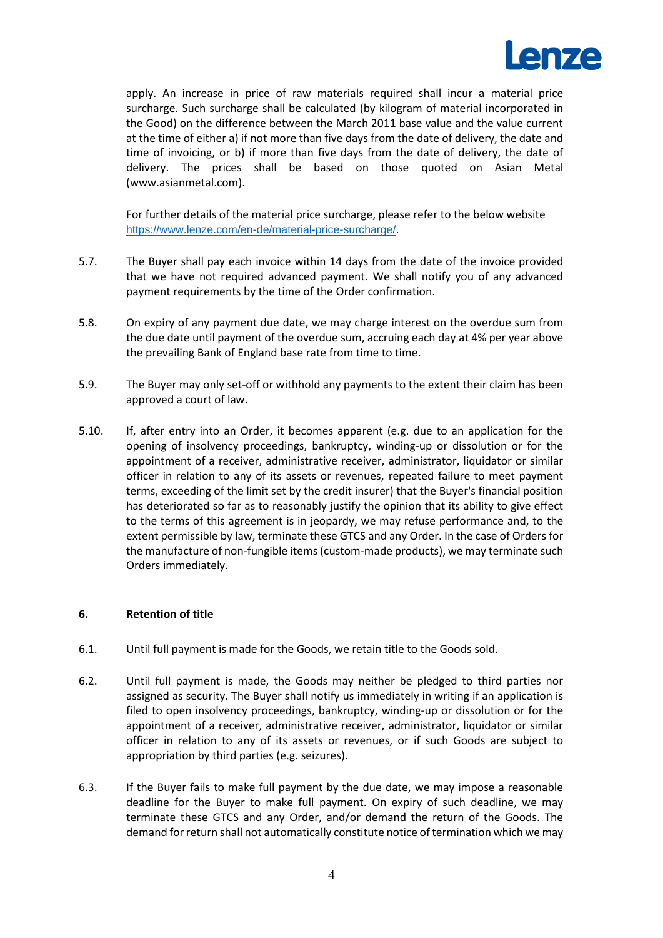

apply. An increase in price of raw materials required shall incur a material price surcharge. Such surcharge shall be calculated (by kilogram of material incorporated in the Good) on the difference between the March 2011 base value and the value current at the time of either a) if not more than five days from the date of delivery, the date and time of invoicing, or b) if more than five days from the date of delivery, the date of delivery. The prices shall be based on those quoted on Asian Metal (www.asianmetal.com).

For further details of the material price surcharge, please refer to the below website <https://www.lenze.com/en-de/material-price-surcharge/>[.](https://www.lenze.com/en-de/products/motors/servo-motors/material-price-surcharge/)

- 5.7. The Buyer shall pay each invoice within 14 days from the date of the invoice provided that we have not required advanced payment. We shall notify you of any advanced payment requirements by the time of the Order confirmation.
- 5.8. On expiry of any payment due date, we may charge interest on the overdue sum from the due date until payment of the overdue sum, accruing each day at 4% per year above the prevailing Bank of England base rate from time to time.
- 5.9. The Buyer may only set-off or withhold any payments to the extent their claim has been approved a court of law.
- 5.10. If, after entry into an Order, it becomes apparent (e.g. due to an application for the opening of insolvency proceedings, bankruptcy, winding-up or dissolution or for the appointment of a receiver, administrative receiver, administrator, liquidator or similar officer in relation to any of its assets or revenues, repeated failure to meet payment terms, exceeding of the limit set by the credit insurer) that the Buyer's financial position has deteriorated so far as to reasonably justify the opinion that its ability to give effect to the terms of this agreement is in jeopardy, we may refuse performance and, to the extent permissible by law, terminate these GTCS and any Order. In the case of Orders for the manufacture of non-fungible items (custom-made products), we may terminate such Orders immediately.

## **6. Retention of title**

- 6.1. Until full payment is made for the Goods, we retain title to the Goods sold.
- 6.2. Until full payment is made, the Goods may neither be pledged to third parties nor assigned as security. The Buyer shall notify us immediately in writing if an application is filed to open insolvency proceedings, bankruptcy, winding-up or dissolution or for the appointment of a receiver, administrative receiver, administrator, liquidator or similar officer in relation to any of its assets or revenues, or if such Goods are subject to appropriation by third parties (e.g. seizures).
- <span id="page-3-0"></span>6.3. If the Buyer fails to make full payment by the due date, we may impose a reasonable deadline for the Buyer to make full payment. On expiry of such deadline, we may terminate these GTCS and any Order, and/or demand the return of the Goods. The demand for return shall not automatically constitute notice of termination which we may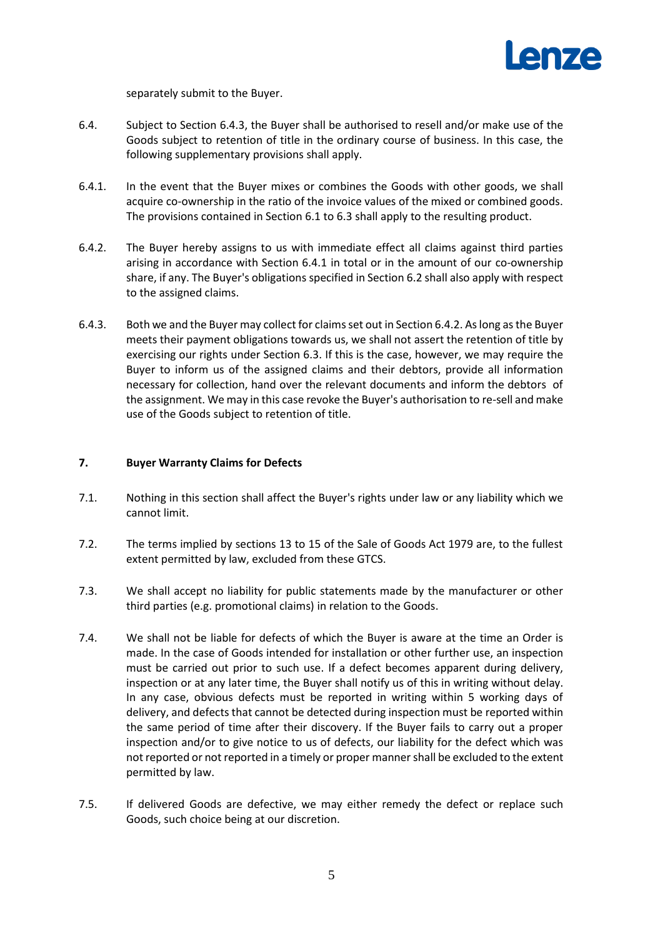

separately submit to the Buyer.

- 6.4. Subject to Section [6.4.3,](#page-4-0) the Buyer shall be authorised to resell and/or make use of the Goods subject to retention of title in the ordinary course of business. In this case, the following supplementary provisions shall apply.
- 6.4.1. In the event that the Buyer mixes or combines the Goods with other goods, we shall acquire co-ownership in the ratio of the invoice values of the mixed or combined goods. The provisions contained in Section 6.1 to 6.3 shall apply to the resulting product.
- 6.4.2. The Buyer hereby assigns to us with immediate effect all claims against third parties arising in accordance with Section 6.4.1 in total or in the amount of our co-ownership share, if any. The Buyer's obligations specified in Section 6.2 shall also apply with respect to the assigned claims.
- <span id="page-4-0"></span>6.4.3. Both we and the Buyer may collect for claims set out in Section 6.4.2. As long asthe Buyer meets their payment obligations towards us, we shall not assert the retention of title by exercising our rights under Section [6.3.](#page-3-0) If this is the case, however, we may require the Buyer to inform us of the assigned claims and their debtors, provide all information necessary for collection, hand over the relevant documents and inform the debtors of the assignment. We may in this case revoke the Buyer's authorisation to re-sell and make use of the Goods subject to retention of title.

#### **7. Buyer Warranty Claims for Defects**

- 7.1. Nothing in this section shall affect the Buyer's rights under law or any liability which we cannot limit.
- 7.2. The terms implied by sections 13 to 15 of the Sale of Goods Act 1979 are, to the fullest extent permitted by law, excluded from these GTCS.
- 7.3. We shall accept no liability for public statements made by the manufacturer or other third parties (e.g. promotional claims) in relation to the Goods.
- 7.4. We shall not be liable for defects of which the Buyer is aware at the time an Order is made. In the case of Goods intended for installation or other further use, an inspection must be carried out prior to such use. If a defect becomes apparent during delivery, inspection or at any later time, the Buyer shall notify us of this in writing without delay. In any case, obvious defects must be reported in writing within 5 working days of delivery, and defects that cannot be detected during inspection must be reported within the same period of time after their discovery. If the Buyer fails to carry out a proper inspection and/or to give notice to us of defects, our liability for the defect which was not reported or not reported in a timely or proper manner shall be excluded to the extent permitted by law.
- 7.5. If delivered Goods are defective, we may either remedy the defect or replace such Goods, such choice being at our discretion.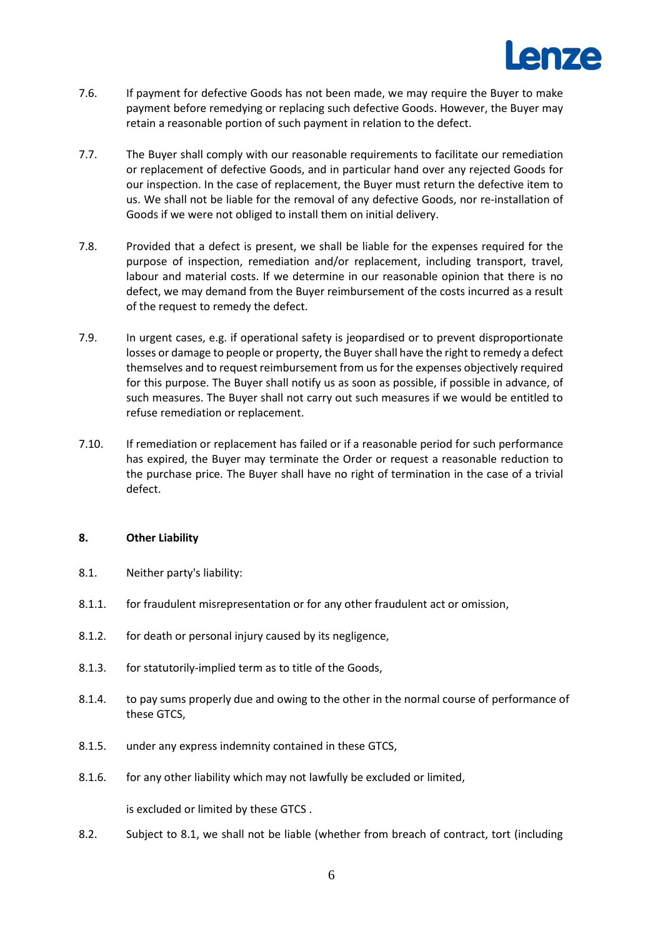

- 7.6. If payment for defective Goods has not been made, we may require the Buyer to make payment before remedying or replacing such defective Goods. However, the Buyer may retain a reasonable portion of such payment in relation to the defect.
- 7.7. The Buyer shall comply with our reasonable requirements to facilitate our remediation or replacement of defective Goods, and in particular hand over any rejected Goods for our inspection. In the case of replacement, the Buyer must return the defective item to us. We shall not be liable for the removal of any defective Goods, nor re-installation of Goods if we were not obliged to install them on initial delivery.
- 7.8. Provided that a defect is present, we shall be liable for the expenses required for the purpose of inspection, remediation and/or replacement, including transport, travel, labour and material costs. If we determine in our reasonable opinion that there is no defect, we may demand from the Buyer reimbursement of the costs incurred as a result of the request to remedy the defect.
- 7.9. In urgent cases, e.g. if operational safety is jeopardised or to prevent disproportionate losses or damage to people or property, the Buyer shall have the right to remedy a defect themselves and to request reimbursement from us for the expenses objectively required for this purpose. The Buyer shall notify us as soon as possible, if possible in advance, of such measures. The Buyer shall not carry out such measures if we would be entitled to refuse remediation or replacement.
- 7.10. If remediation or replacement has failed or if a reasonable period for such performance has expired, the Buyer may terminate the Order or request a reasonable reduction to the purchase price. The Buyer shall have no right of termination in the case of a trivial defect.

## <span id="page-5-2"></span>**8. Other Liability**

- 8.1. Neither party's liability:
- <span id="page-5-0"></span>8.1.1. for fraudulent misrepresentation or for any other fraudulent act or omission,
- <span id="page-5-1"></span>8.1.2. for death or personal injury caused by its negligence,
- 8.1.3. for statutorily-implied term as to title of the Goods,
- 8.1.4. to pay sums properly due and owing to the other in the normal course of performance of these GTCS,
- 8.1.5. under any express indemnity contained in these GTCS,
- 8.1.6. for any other liability which may not lawfully be excluded or limited,

is excluded or limited by these GTCS .

8.2. Subject to [8.1](#page-5-0)[,](#page-5-1) we shall not be liable (whether from breach of contract, tort (including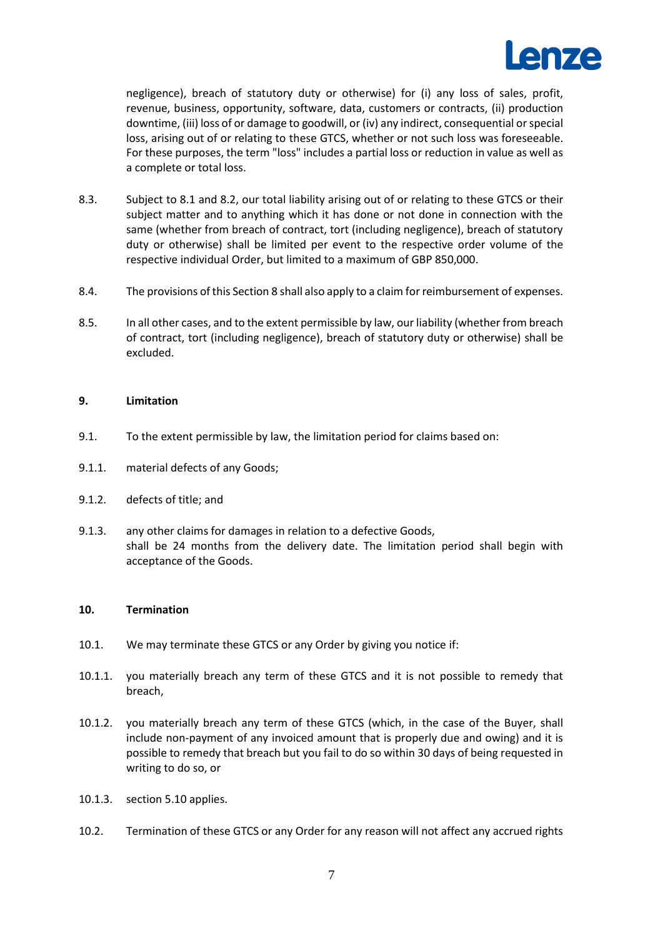

negligence), breach of statutory duty or otherwise) for (i) any loss of sales, profit, revenue, business, opportunity, software, data, customers or contracts, (ii) production downtime, (iii) loss of or damage to goodwill, or (iv) any indirect, consequential or special loss, arising out of or relating to these GTCS, whether or not such loss was foreseeable. For these purposes, the term "loss" includes a partial loss or reduction in value as well as a complete or total loss.

- 8.3. Subject to 8.1 and 8.2, our total liability arising out of or relating to these GTCS or their subject matter and to anything which it has done or not done in connection with the same (whether from breach of contract, tort (including negligence), breach of statutory duty or otherwise) shall be limited per event to the respective order volume of the respective individual Order, but limited to a maximum of GBP 850,000.
- 8.4. The provisions of this Section [8](#page-5-2) shall also apply to a claim for reimbursement of expenses.
- 8.5. In all other cases, and to the extent permissible by law, our liability (whether from breach of contract, tort (including negligence), breach of statutory duty or otherwise) shall be excluded.

## **9. Limitation**

- 9.1. To the extent permissible by law, the limitation period for claims based on:
- 9.1.1. material defects of any Goods;
- 9.1.2. defects of title; and
- 9.1.3. any other claims for damages in relation to a defective Goods, shall be 24 months from the delivery date. The limitation period shall begin with acceptance of the Goods.

## **10. Termination**

- 10.1. We may terminate these GTCS or any Order by giving you notice if:
- 10.1.1. you materially breach any term of these GTCS and it is not possible to remedy that breach,
- 10.1.2. you materially breach any term of these GTCS (which, in the case of the Buyer, shall include non-payment of any invoiced amount that is properly due and owing) and it is possible to remedy that breach but you fail to do so within 30 days of being requested in writing to do so, or
- 10.1.3. section 5.10 applies.
- 10.2. Termination of these GTCS or any Order for any reason will not affect any accrued rights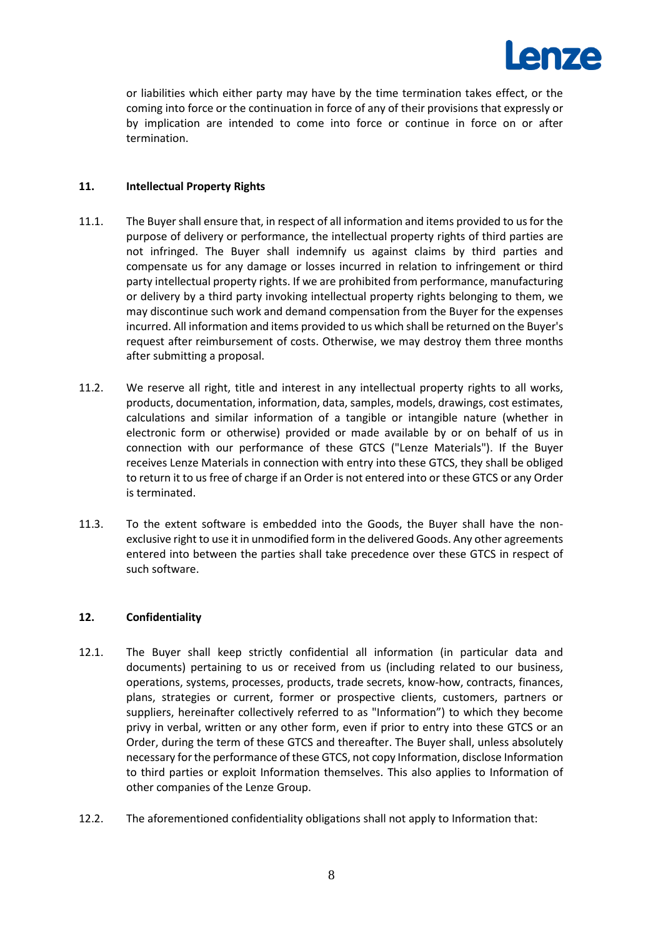

or liabilities which either party may have by the time termination takes effect, or the coming into force or the continuation in force of any of their provisions that expressly or by implication are intended to come into force or continue in force on or after termination.

## **11. Intellectual Property Rights**

- 11.1. The Buyer shall ensure that, in respect of all information and items provided to us for the purpose of delivery or performance, the intellectual property rights of third parties are not infringed. The Buyer shall indemnify us against claims by third parties and compensate us for any damage or losses incurred in relation to infringement or third party intellectual property rights. If we are prohibited from performance, manufacturing or delivery by a third party invoking intellectual property rights belonging to them, we may discontinue such work and demand compensation from the Buyer for the expenses incurred. All information and items provided to us which shall be returned on the Buyer's request after reimbursement of costs. Otherwise, we may destroy them three months after submitting a proposal.
- 11.2. We reserve all right, title and interest in any intellectual property rights to all works, products, documentation, information, data, samples, models, drawings, cost estimates, calculations and similar information of a tangible or intangible nature (whether in electronic form or otherwise) provided or made available by or on behalf of us in connection with our performance of these GTCS ("Lenze Materials"). If the Buyer receives Lenze Materials in connection with entry into these GTCS, they shall be obliged to return it to us free of charge if an Order is not entered into or these GTCS or any Order is terminated.
- 11.3. To the extent software is embedded into the Goods, the Buyer shall have the nonexclusive right to use it in unmodified form in the delivered Goods. Any other agreements entered into between the parties shall take precedence over these GTCS in respect of such software.

## **12. Confidentiality**

- 12.1. The Buyer shall keep strictly confidential all information (in particular data and documents) pertaining to us or received from us (including related to our business, operations, systems, processes, products, trade secrets, know-how, contracts, finances, plans, strategies or current, former or prospective clients, customers, partners or suppliers, hereinafter collectively referred to as "Information") to which they become privy in verbal, written or any other form, even if prior to entry into these GTCS or an Order, during the term of these GTCS and thereafter. The Buyer shall, unless absolutely necessary for the performance of these GTCS, not copy Information, disclose Information to third parties or exploit Information themselves. This also applies to Information of other companies of the Lenze Group.
- 12.2. The aforementioned confidentiality obligations shall not apply to Information that: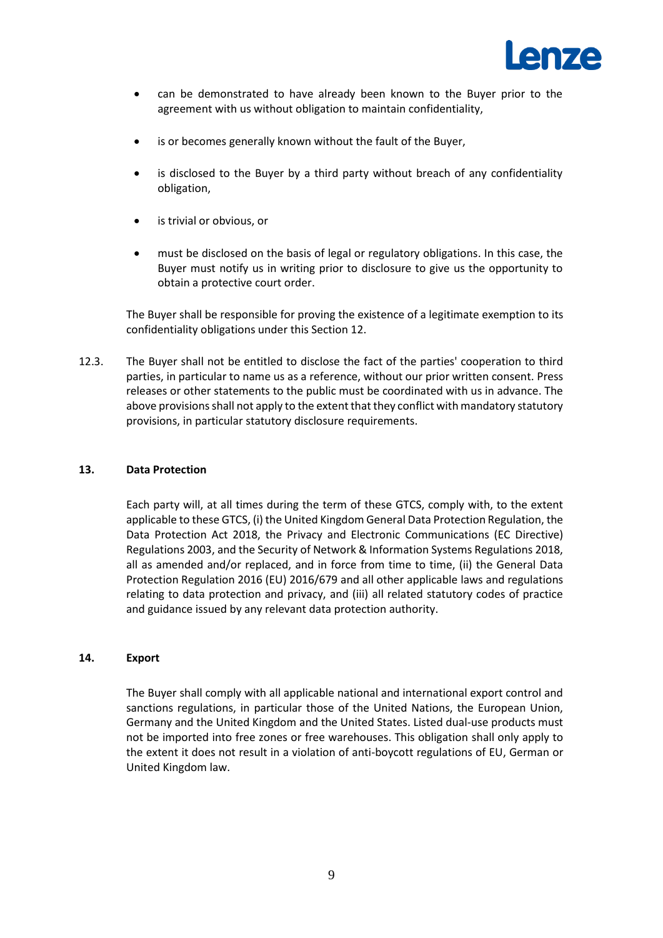

- can be demonstrated to have already been known to the Buyer prior to the agreement with us without obligation to maintain confidentiality,
- is or becomes generally known without the fault of the Buyer,
- is disclosed to the Buyer by a third party without breach of any confidentiality obligation,
- is trivial or obvious, or
- must be disclosed on the basis of legal or regulatory obligations. In this case, the Buyer must notify us in writing prior to disclosure to give us the opportunity to obtain a protective court order.

The Buyer shall be responsible for proving the existence of a legitimate exemption to its confidentiality obligations under this Section 12.

12.3. The Buyer shall not be entitled to disclose the fact of the parties' cooperation to third parties, in particular to name us as a reference, without our prior written consent. Press releases or other statements to the public must be coordinated with us in advance. The above provisions shall not apply to the extent that they conflict with mandatory statutory provisions, in particular statutory disclosure requirements.

## **13. Data Protection**

Each party will, at all times during the term of these GTCS, comply with, to the extent applicable to these GTCS, (i) the United Kingdom General Data Protection Regulation, the Data Protection Act 2018, the Privacy and Electronic Communications (EC Directive) Regulations 2003, and the Security of Network & Information Systems Regulations 2018, all as amended and/or replaced, and in force from time to time, (ii) the General Data Protection Regulation 2016 (EU) 2016/679 and all other applicable laws and regulations relating to data protection and privacy, and (iii) all related statutory codes of practice and guidance issued by any relevant data protection authority.

## **14. Export**

The Buyer shall comply with all applicable national and international export control and sanctions regulations, in particular those of the United Nations, the European Union, Germany and the United Kingdom and the United States. Listed dual-use products must not be imported into free zones or free warehouses. This obligation shall only apply to the extent it does not result in a violation of anti-boycott regulations of EU, German or United Kingdom law.